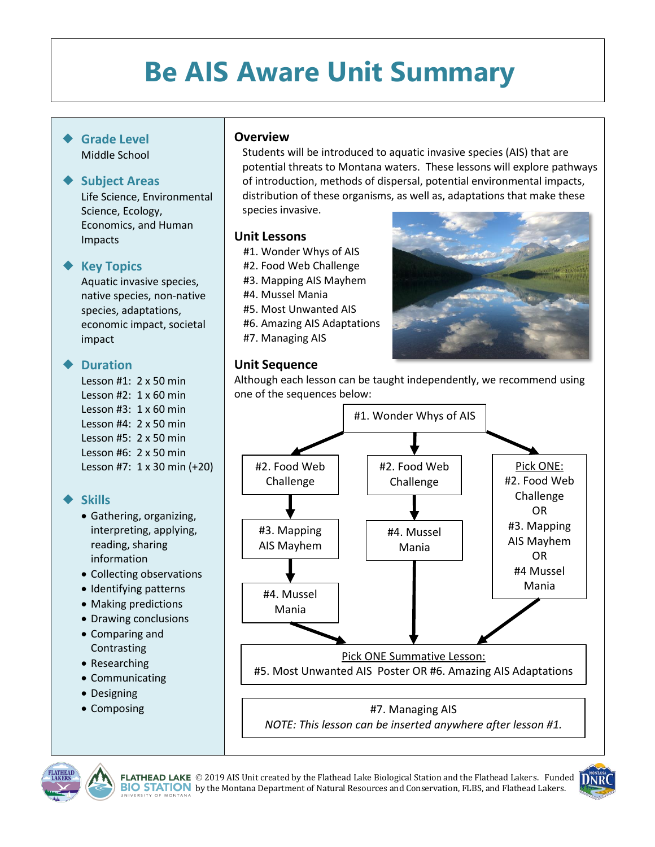# **Be AIS Aware Unit Summary**

#### **Grade Level** Middle School

#### **Subject Areas**

Life Science, Environmental Science, Ecology, Economics, and Human Impacts

#### **Key Topics**

Aquatic invasive species, native species, non-native species, adaptations, economic impact, societal impact

## **Duration**

Lesson #1: 2 x 50 min Lesson #2: 1 x 60 min Lesson #3: 1 x 60 min Lesson #4: 2 x 50 min Lesson #5: 2 x 50 min Lesson #6: 2 x 50 min Lesson #7: 1 x 30 min (+20)

# **Skills**

- Gathering, organizing, interpreting, applying, reading, sharing information
- Collecting observations
- Identifying patterns
- Making predictions
- Drawing conclusions
- Comparing and Contrasting
- Researching
- Communicating
- Designing
- Composing

## **Overview**

Students will be introduced to aquatic invasive species (AIS) that are potential threats to Montana waters. These lessons will explore pathways of introduction, methods of dispersal, potential environmental impacts, distribution of these organisms, as well as, adaptations that make these species invasive.

#### **Unit Lessons**

- #1. Wonder Whys of AIS
- #2. Food Web Challenge
- #3. Mapping AIS Mayhem
- #4. Mussel Mania
- #5. Most Unwanted AIS
- #6. Amazing AIS Adaptations
- #7. Managing AIS



## **Unit Sequence**

Although each lesson can be taught independently, we recommend using one of the sequences below:



#7. Managing AIS *NOTE: This lesson can be inserted anywhere after lesson #1.*



**FLATHEAD LAKE** © 2019 AIS Unit created by the Flathead Lake Biological Station and the Flathead Lakers. Funded  $\prod_{i=1}^n R_i$ **BIO STATION** by the Montana Department of Natural Resources and Conservation, FLBS, and Flathead Lakers.

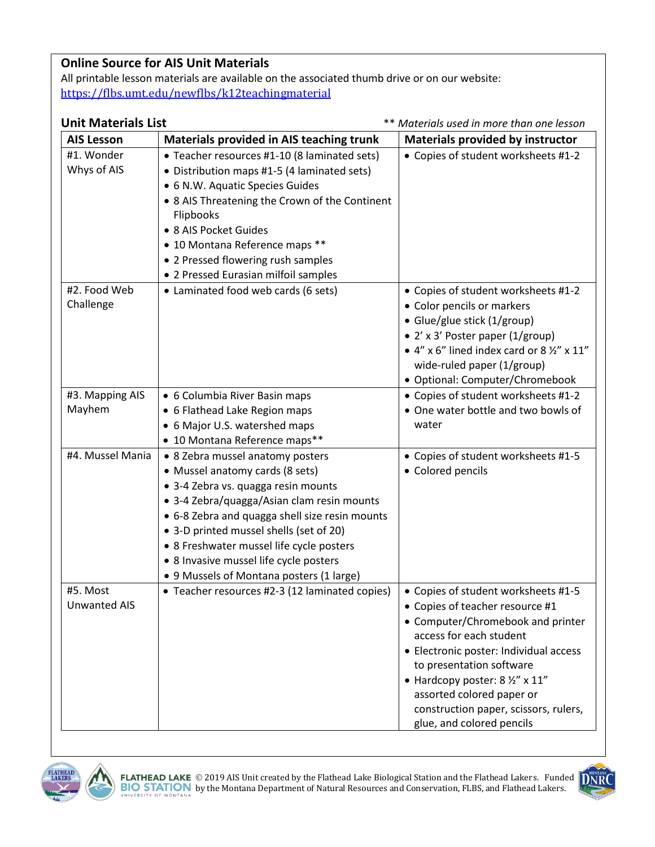# **Online Source for AIS Unit Materials**

All printable lesson materials are available on the associated thumb drive or on our website: <https://flbs.umt.edu/newflbs/k12teachingmaterial>

| <b>Unit Materials List</b>      |                                                                                                                                                                                                                                                                                                                                                                                         | ** Materials used in more than one lesson                                                                                                                                                                                                                                                                                                          |  |  |  |
|---------------------------------|-----------------------------------------------------------------------------------------------------------------------------------------------------------------------------------------------------------------------------------------------------------------------------------------------------------------------------------------------------------------------------------------|----------------------------------------------------------------------------------------------------------------------------------------------------------------------------------------------------------------------------------------------------------------------------------------------------------------------------------------------------|--|--|--|
| <b>AIS Lesson</b>               | Materials provided in AIS teaching trunk                                                                                                                                                                                                                                                                                                                                                | <b>Materials provided by instructor</b>                                                                                                                                                                                                                                                                                                            |  |  |  |
| #1. Wonder<br>Whys of AIS       | • Teacher resources #1-10 (8 laminated sets)<br>• Distribution maps #1-5 (4 laminated sets)<br>• 6 N.W. Aquatic Species Guides<br>• 8 AIS Threatening the Crown of the Continent<br>Flipbooks<br>• 8 AIS Pocket Guides<br>• 10 Montana Reference maps **<br>• 2 Pressed flowering rush samples<br>• 2 Pressed Eurasian milfoil samples                                                  | • Copies of student worksheets #1-2                                                                                                                                                                                                                                                                                                                |  |  |  |
| #2. Food Web<br>Challenge       | • Laminated food web cards (6 sets)                                                                                                                                                                                                                                                                                                                                                     | • Copies of student worksheets #1-2<br>• Color pencils or markers<br>• Glue/glue stick (1/group)<br>• 2' x 3' Poster paper (1/group)<br>• $4''$ x 6" lined index card or 8 $\frac{1}{2}$ " x 11"<br>wide-ruled paper (1/group)<br>· Optional: Computer/Chromebook                                                                                  |  |  |  |
| #3. Mapping AIS<br>Mayhem       | • 6 Columbia River Basin maps<br>• 6 Flathead Lake Region maps<br>• 6 Major U.S. watershed maps<br>• 10 Montana Reference maps**                                                                                                                                                                                                                                                        | • Copies of student worksheets #1-2<br>• One water bottle and two bowls of<br>water                                                                                                                                                                                                                                                                |  |  |  |
| #4. Mussel Mania                | • 8 Zebra mussel anatomy posters<br>• Mussel anatomy cards (8 sets)<br>· 3-4 Zebra vs. quagga resin mounts<br>• 3-4 Zebra/quagga/Asian clam resin mounts<br>• 6-8 Zebra and quagga shell size resin mounts<br>• 3-D printed mussel shells (set of 20)<br>• 8 Freshwater mussel life cycle posters<br>• 8 Invasive mussel life cycle posters<br>• 9 Mussels of Montana posters (1 large) | • Copies of student worksheets #1-5<br>• Colored pencils                                                                                                                                                                                                                                                                                           |  |  |  |
| #5. Most<br><b>Unwanted AIS</b> | • Teacher resources #2-3 (12 laminated copies)                                                                                                                                                                                                                                                                                                                                          | • Copies of student worksheets #1-5<br>• Copies of teacher resource #1<br>• Computer/Chromebook and printer<br>access for each student<br>• Electronic poster: Individual access<br>to presentation software<br>• Hardcopy poster: 8 1/2" x 11"<br>assorted colored paper or<br>construction paper, scissors, rulers,<br>glue, and colored pencils |  |  |  |



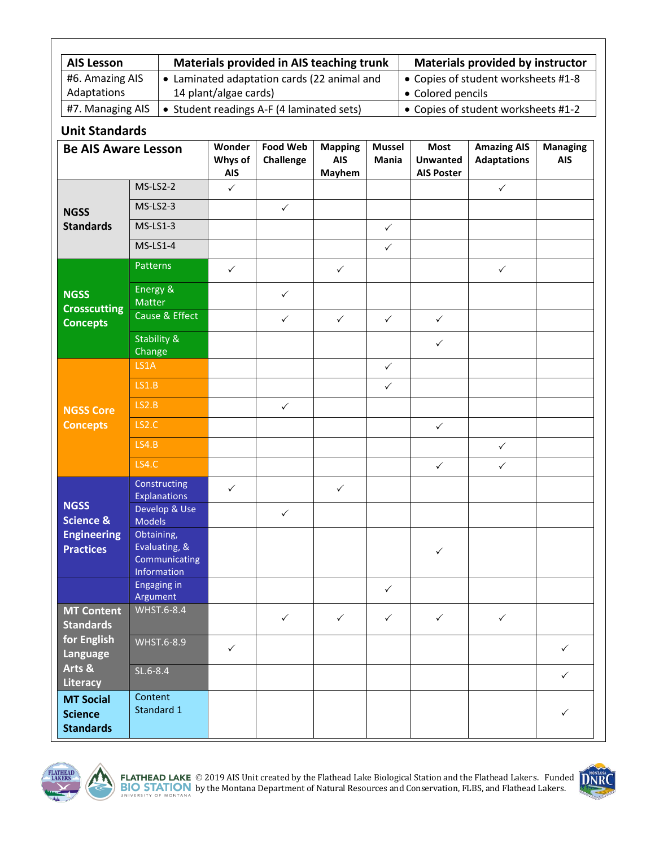| <b>AIS Lesson</b>              | Materials provided in AIS teaching trunk                             | <b>Materials provided by instructor</b>                  |
|--------------------------------|----------------------------------------------------------------------|----------------------------------------------------------|
| #6. Amazing AIS<br>Adaptations | • Laminated adaptation cards (22 animal and<br>14 plant/algae cards) | • Copies of student worksheets #1-8<br>• Colored pencils |
|                                |                                                                      |                                                          |
| #7. Managing AIS               | • Student readings A-F (4 laminated sets)                            | • Copies of student worksheets #1-2                      |

## **Unit Standards**

| <b>Be AIS Aware Lesson</b>                                                             |                                                             | Wonder<br>Whys of<br><b>AIS</b> | <b>Food Web</b><br>Challenge | <b>Mapping</b><br><b>AIS</b><br><b>Mayhem</b> | <b>Mussel</b><br>Mania | <b>Most</b><br><b>Unwanted</b><br><b>AIS Poster</b> | <b>Amazing AIS</b><br><b>Adaptations</b> | <b>Managing</b><br><b>AIS</b> |
|----------------------------------------------------------------------------------------|-------------------------------------------------------------|---------------------------------|------------------------------|-----------------------------------------------|------------------------|-----------------------------------------------------|------------------------------------------|-------------------------------|
| <b>NGSS</b><br><b>Standards</b>                                                        | $MS-LS2-2$                                                  | $\checkmark$                    |                              |                                               |                        |                                                     | $\checkmark$                             |                               |
|                                                                                        | $MS-LS2-3$                                                  |                                 | $\checkmark$                 |                                               |                        |                                                     |                                          |                               |
|                                                                                        | $MS-LS1-3$                                                  |                                 |                              |                                               | $\checkmark$           |                                                     |                                          |                               |
|                                                                                        | $MS-LS1-4$                                                  |                                 |                              |                                               | $\checkmark$           |                                                     |                                          |                               |
| <b>NGSS</b><br><b>Crosscutting</b><br><b>Concepts</b>                                  | <b>Patterns</b>                                             | $\checkmark$                    |                              | $\checkmark$                                  |                        |                                                     | $\checkmark$                             |                               |
|                                                                                        | Energy &<br>Matter                                          |                                 | $\checkmark$                 |                                               |                        |                                                     |                                          |                               |
|                                                                                        | Cause & Effect                                              |                                 | $\checkmark$                 | $\checkmark$                                  | $\checkmark$           | $\checkmark$                                        |                                          |                               |
|                                                                                        | <b>Stability &amp;</b><br>Change                            |                                 |                              |                                               |                        | $\checkmark$                                        |                                          |                               |
| <b>NGSS Core</b><br><b>Concepts</b>                                                    | LS1A                                                        |                                 |                              |                                               | $\checkmark$           |                                                     |                                          |                               |
|                                                                                        | LS1.B                                                       |                                 |                              |                                               | $\checkmark$           |                                                     |                                          |                               |
|                                                                                        | LS2.B                                                       |                                 | $\checkmark$                 |                                               |                        |                                                     |                                          |                               |
|                                                                                        | LS2.C                                                       |                                 |                              |                                               |                        | $\checkmark$                                        |                                          |                               |
|                                                                                        | LS4.B                                                       |                                 |                              |                                               |                        |                                                     | $\checkmark$                             |                               |
|                                                                                        | <b>LS4.C</b>                                                |                                 |                              |                                               |                        | $\checkmark$                                        | $\checkmark$                             |                               |
| <b>NGSS</b><br><b>Science &amp;</b><br><b>Engineering</b><br><b>Practices</b>          | Constructing<br><b>Explanations</b>                         | $\checkmark$                    |                              | $\checkmark$                                  |                        |                                                     |                                          |                               |
|                                                                                        | Develop & Use<br><b>Models</b>                              |                                 | $\checkmark$                 |                                               |                        |                                                     |                                          |                               |
|                                                                                        | Obtaining,<br>Evaluating, &<br>Communicating<br>Information |                                 |                              |                                               |                        | $\checkmark$                                        |                                          |                               |
|                                                                                        | Engaging in<br>Argument                                     |                                 |                              |                                               | $\checkmark$           |                                                     |                                          |                               |
| <b>MT Content</b><br><b>Standards</b><br>for English<br>Language<br>Arts &<br>Literacy | WHST.6-8.4                                                  |                                 | $\checkmark$                 | $\checkmark$                                  | $\checkmark$           | $\checkmark$                                        | $\checkmark$                             |                               |
|                                                                                        | WHST.6-8.9                                                  | $\checkmark$                    |                              |                                               |                        |                                                     |                                          | $\checkmark$                  |
|                                                                                        | SL.6-8.4                                                    |                                 |                              |                                               |                        |                                                     |                                          | $\checkmark$                  |
| <b>MT Social</b><br><b>Science</b><br><b>Standards</b>                                 | Content<br>Standard 1                                       |                                 |                              |                                               |                        |                                                     |                                          | $\checkmark$                  |